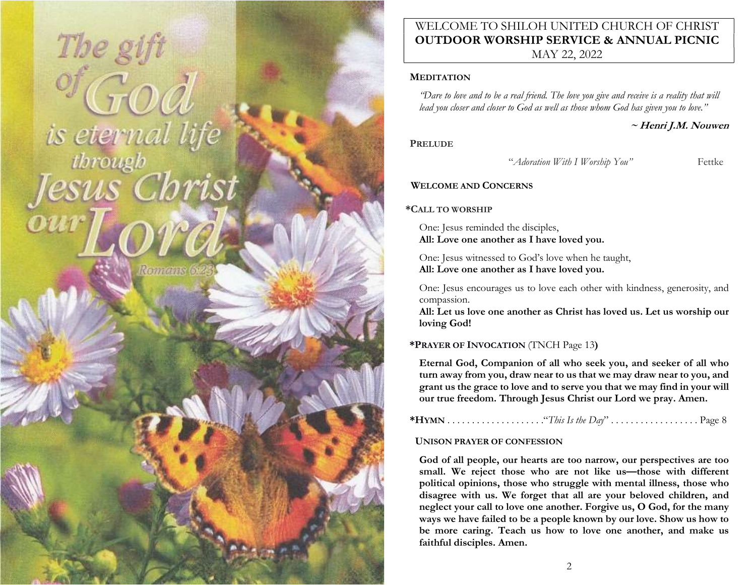# The gift is eternal life

**Romanus G** 

# WELCOME TO SHILOH UNITED CHURCH OF CHRIST OUTDOOR WORSHIP SERVICE & ANNUAL PICNIC MAY 22, 2022

### **MEDITATION**

"Dare to love and to be a real friend. The love you give and receive is a reality that will lead you closer and closer to God as well as those whom God has given you to love."

~ Henri J.M. Nouwen

# **PRELUDE**

"Adoration With I Worship You" Fettke

# WELCOME AND CONCERNS

# \*CALL TO WORSHIP

One: Jesus reminded the disciples, All: Love one another as I have loved you.

One: Jesus witnessed to God's love when he taught, All: Love one another as I have loved you.

One: Jesus encourages us to love each other with kindness, generosity, and compassion.

All: Let us love one another as Christ has loved us. Let us worship our loving God!

# \*PRAYER OF INVOCATION (TNCH Page 13)

Eternal God, Companion of all who seek you, and seeker of all who turn away from you, draw near to us that we may draw near to you, and grant us the grace to love and to serve you that we may find in your will our true freedom. Through Jesus Christ our Lord we pray. Amen.

# UNISON PRAYER OF CONFESSION

God of all people, our hearts are too narrow, our perspectives are too small. We reject those who are not like us—those with different political opinions, those who struggle with mental illness, those who disagree with us. We forget that all are your beloved children, and neglect your call to love one another. Forgive us, O God, for the many ways we have failed to be a people known by our love. Show us how to be more caring. Teach us how to love one another, and make us faithful disciples. Amen.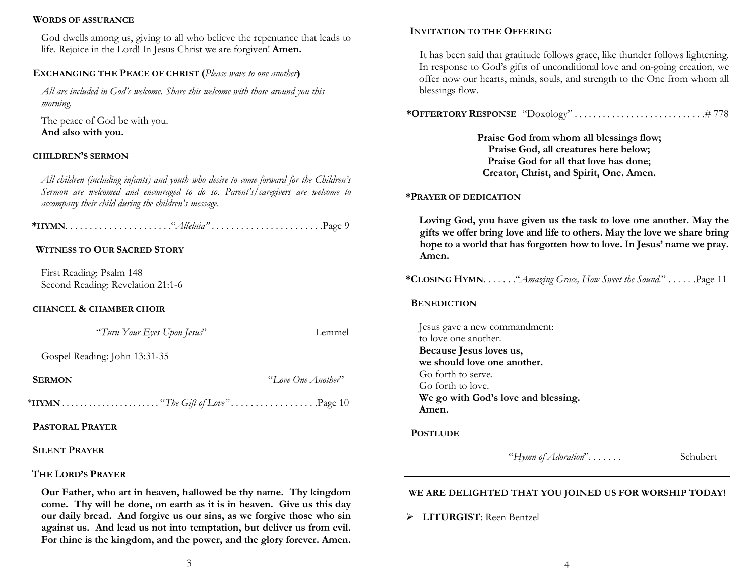### WORDS OF ASSURANCE

God dwells among us, giving to all who believe the repentance that leads to life. Rejoice in the Lord! In Jesus Christ we are forgiven! Amen.

# EXCHANGING THE PEACE OF CHRIST (Please wave to one another)

All are included in God's welcome. Share this welcome with those around you this morning.

The peace of God be with you. And also with you.

# CHILDREN'S SERMON

All children (including infants) and youth who desire to come forward for the Children's Sermon are welcomed and encouraged to do so. Parent's/caregivers are welcome to accompany their child during the children's message.

\*HYMN. . . . . . . . . . . . . . . . . . . . . ."Alleluia" . . . . . . . . . . . . . . . . . . . . . . .Page 9

# WITNESS TO OUR SACRED STORY

First Reading: Psalm 148 Second Reading: Revelation 21:1-6

### CHANCEL & CHAMBER CHOIR

"Turn Your Eyes Upon Jesus" Lemmel

Gospel Reading: John 13:31-35

SERMON "Love One Another"

\*HYMN . . . . . . . . . . . . . . . . . . . . . . "The Gift of Love" . . . . . . . . . . . . . . . . . .Page 10

PASTORAL PRAYER

# SILENT PRAYER

# THE LORD'S PRAYER

Our Father, who art in heaven, hallowed be thy name. Thy kingdom come. Thy will be done, on earth as it is in heaven. Give us this day our daily bread. And forgive us our sins, as we forgive those who sin against us. And lead us not into temptation, but deliver us from evil. For thine is the kingdom, and the power, and the glory forever. Amen.

# INVITATION TO THE OFFERING

It has been said that gratitude follows grace, like thunder follows lightening. In response to God's gifts of unconditional love and on-going creation, we offer now our hearts, minds, souls, and strength to the One from whom all blessings flow.

\*OFFERTORY RESPONSE "Doxology" . . . . . . . . . . . . . . . . . . . . . . . . . . . .# 778

Praise God from whom all blessings flow; Praise God, all creatures here below; Praise God for all that love has done; Creator, Christ, and Spirit, One. Amen.

### \*PRAYER OF DEDICATION

Loving God, you have given us the task to love one another. May the gifts we offer bring love and life to others. May the love we share bring hope to a world that has forgotten how to love. In Jesus' name we pray. Amen.

\*CLOSING HYMN. . . . . . . "Amazing Grace, How Sweet the Sound." . . . . . . . Page 11

### **BENEDICTION**

Jesus gave a new commandment: to love one another. Because Jesus loves us, we should love one another. Go forth to serve. Go forth to love. We go with God's love and blessing. Amen.

### **POSTLUDE**

"Hymn of Adoration"....... Schubert

### WE ARE DELIGHTED THAT YOU JOINED US FOR WORSHIP TODAY!

> LITURGIST: Reen Bentzel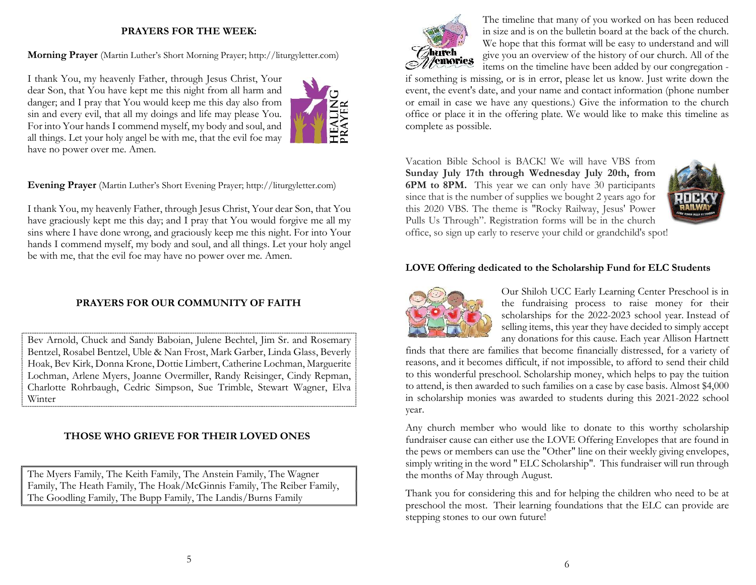# PRAYERS FOR THE WEEK:

Morning Prayer (Martin Luther's Short Morning Prayer; http://liturgyletter.com)

I thank You, my heavenly Father, through Jesus Christ, Your dear Son, that You have kept me this night from all harm and danger; and I pray that You would keep me this day also from sin and every evil, that all my doings and life may please You. For into Your hands I commend myself, my body and soul, and all things. Let your holy angel be with me, that the evil foe may have no power over me. Amen.



Evening Prayer (Martin Luther's Short Evening Prayer; http://liturgyletter.com)

I thank You, my heavenly Father, through Jesus Christ, Your dear Son, that You have graciously kept me this day; and I pray that You would forgive me all my sins where I have done wrong, and graciously keep me this night. For into Your hands I commend myself, my body and soul, and all things. Let your holy angel be with me, that the evil foe may have no power over me. Amen.

# PRAYERS FOR OUR COMMUNITY OF FAITH

Bev Arnold, Chuck and Sandy Baboian, Julene Bechtel, Jim Sr. and Rosemary Bentzel, Rosabel Bentzel, Uble & Nan Frost, Mark Garber, Linda Glass, Beverly Hoak, Bev Kirk, Donna Krone, Dottie Limbert, Catherine Lochman, Marguerite Lochman, Arlene Myers, Joanne Overmiller, Randy Reisinger, Cindy Repman, Charlotte Rohrbaugh, Cedric Simpson, Sue Trimble, Stewart Wagner, Elva Winter

# THOSE WHO GRIEVE FOR THEIR LOVED ONES

The Myers Family, The Keith Family, The Anstein Family, The Wagner Family, The Heath Family, The Hoak/McGinnis Family, The Reiber Family, The Goodling Family, The Bupp Family, The Landis/Burns Family



The timeline that many of you worked on has been reduced in size and is on the bulletin board at the back of the church. We hope that this format will be easy to understand and will give you an overview of the history of our church. All of the items on the timeline have been added by our congregation -

if something is missing, or is in error, please let us know. Just write down the event, the event's date, and your name and contact information (phone number or email in case we have any questions.) Give the information to the church office or place it in the offering plate. We would like to make this timeline as complete as possible.

Vacation Bible School is BACK! We will have VBS from Sunday July 17th through Wednesday July 20th, from 6PM to 8PM. This year we can only have 30 participants since that is the number of supplies we bought 2 years ago for this 2020 VBS. The theme is "Rocky Railway, Jesus' Power Pulls Us Through". Registration forms will be in the church



office, so sign up early to reserve your child or grandchild's spot!

### LOVE Offering dedicated to the Scholarship Fund for ELC Students



Our Shiloh UCC Early Learning Center Preschool is in the fundraising process to raise money for their scholarships for the 2022-2023 school year. Instead of selling items, this year they have decided to simply accept any donations for this cause. Each year Allison Hartnett

finds that there are families that become financially distressed, for a variety of reasons, and it becomes difficult, if not impossible, to afford to send their child to this wonderful preschool. Scholarship money, which helps to pay the tuition to attend, is then awarded to such families on a case by case basis. Almost \$4,000 in scholarship monies was awarded to students during this 2021-2022 school year.

Any church member who would like to donate to this worthy scholarship fundraiser cause can either use the LOVE Offering Envelopes that are found in the pews or members can use the "Other" line on their weekly giving envelopes, simply writing in the word " ELC Scholarship". This fundraiser will run through the months of May through August.

Thank you for considering this and for helping the children who need to be at preschool the most. Their learning foundations that the ELC can provide are stepping stones to our own future!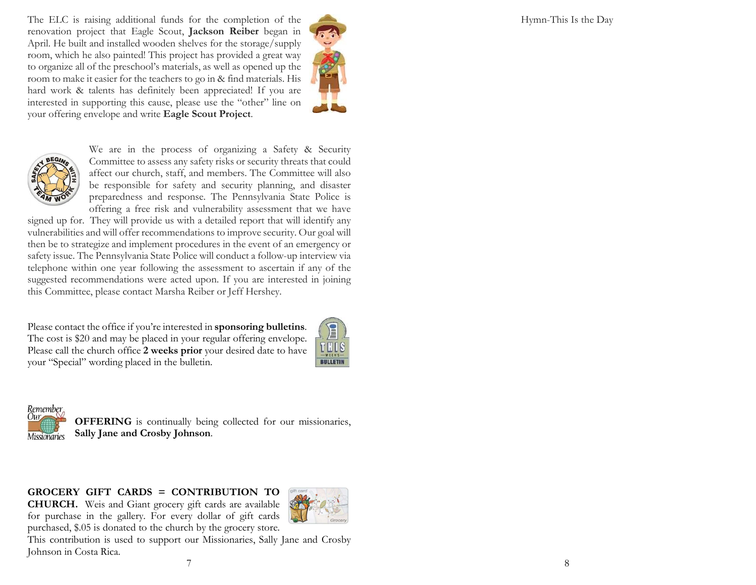Hymn-This Is the Day

The ELC is raising additional funds for the completion of the renovation project that Eagle Scout, Jackson Reiber began in April. He built and installed wooden shelves for the storage/supply room, which he also painted! This project has provided a great way to organize all of the preschool's materials, as well as opened up the room to make it easier for the teachers to go in & find materials. His hard work & talents has definitely been appreciated! If you are interested in supporting this cause, please use the "other" line on your offering envelope and write Eagle Scout Project.





We are in the process of organizing a Safety & Security Committee to assess any safety risks or security threats that could affect our church, staff, and members. The Committee will also be responsible for safety and security planning, and disaster preparedness and response. The Pennsylvania State Police is offering a free risk and vulnerability assessment that we have

signed up for. They will provide us with a detailed report that will identify any vulnerabilities and will offer recommendations to improve security. Our goal will then be to strategize and implement procedures in the event of an emergency or safety issue. The Pennsylvania State Police will conduct a follow-up interview via telephone within one year following the assessment to ascertain if any of the suggested recommendations were acted upon. If you are interested in joining this Committee, please contact Marsha Reiber or Jeff Hershey.

Please contact the office if you're interested in sponsoring bulletins. The cost is \$20 and may be placed in your regular offering envelope. Please call the church office 2 weeks prior your desired date to have your "Special" wording placed in the bulletin.





OFFERING is continually being collected for our missionaries, Sally Jane and Crosby Johnson.

GROCERY GIFT CARDS = CONTRIBUTION TO CHURCH. Weis and Giant grocery gift cards are available for purchase in the gallery. For every dollar of gift cards purchased, \$.05 is donated to the church by the grocery store.



This contribution is used to support our Missionaries, Sally Jane and Crosby Johnson in Costa Rica.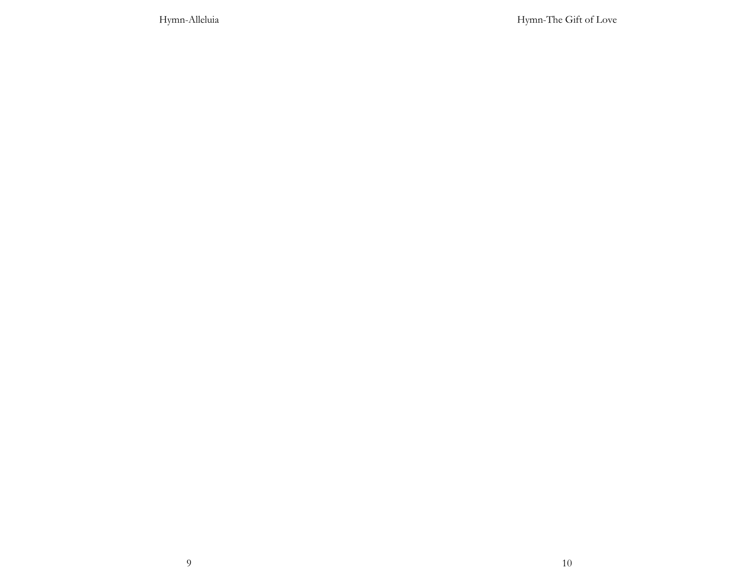Hymn-Alleluia

Hymn-The Gift of Love